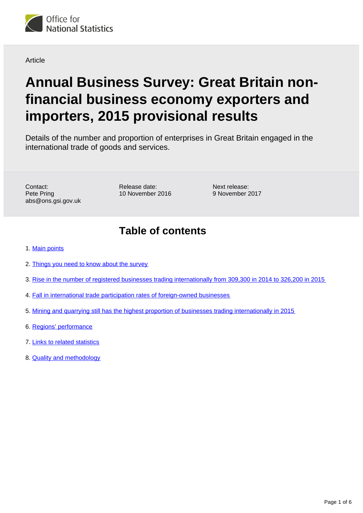

**Article** 

# **Annual Business Survey: Great Britain nonfinancial business economy exporters and importers, 2015 provisional results**

Details of the number and proportion of enterprises in Great Britain engaged in the international trade of goods and services.

Contact: Pete Pring abs@ons.gsi.gov.uk Release date: 10 November 2016

Next release: 9 November 2017

### **Table of contents**

- 1. [Main points](#page-1-0)
- 2. [Things you need to know about the survey](#page-1-1)
- 3. [Rise in the number of registered businesses trading internationally from 309,300 in 2014 to 326,200 in 2015](#page-2-0)
- 4. [Fall in international trade participation rates of foreign-owned businesses](#page-4-0)
- 5. [Mining and quarrying still has the highest proportion of businesses trading internationally in 2015](#page-4-1)
- 6. [Regions' performance](#page-4-2)
- 7. [Links to related statistics](#page-4-3)
- 8. [Quality and methodology](#page-5-0)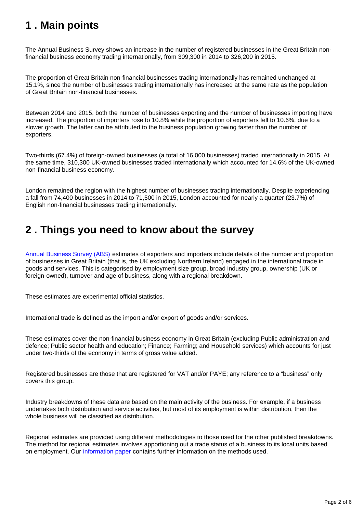### <span id="page-1-0"></span>**1 . Main points**

The Annual Business Survey shows an increase in the number of registered businesses in the Great Britain nonfinancial business economy trading internationally, from 309,300 in 2014 to 326,200 in 2015.

The proportion of Great Britain non-financial businesses trading internationally has remained unchanged at 15.1%, since the number of businesses trading internationally has increased at the same rate as the population of Great Britain non-financial businesses.

Between 2014 and 2015, both the number of businesses exporting and the number of businesses importing have increased. The proportion of importers rose to 10.8% while the proportion of exporters fell to 10.6%, due to a slower growth. The latter can be attributed to the business population growing faster than the number of exporters.

Two-thirds (67.4%) of foreign-owned businesses (a total of 16,000 businesses) traded internationally in 2015. At the same time, 310,300 UK-owned businesses traded internationally which accounted for 14.6% of the UK-owned non-financial business economy.

London remained the region with the highest number of businesses trading internationally. Despite experiencing a fall from 74,400 businesses in 2014 to 71,500 in 2015, London accounted for nearly a quarter (23.7%) of English non-financial businesses trading internationally.

#### <span id="page-1-1"></span>**2 . Things you need to know about the survey**

[Annual Business Survey \(ABS\)](https://www.ons.gov.uk/releases/uknonfinancialbusinesseconomy2015provisionalresults) estimates of exporters and importers include details of the number and proportion of businesses in Great Britain (that is, the UK excluding Northern Ireland) engaged in the international trade in goods and services. This is categorised by employment size group, broad industry group, ownership (UK or foreign-owned), turnover and age of business, along with a regional breakdown.

These estimates are experimental official statistics.

International trade is defined as the import and/or export of goods and/or services.

These estimates cover the non-financial business economy in Great Britain (excluding Public administration and defence; Public sector health and education; Finance; Farming; and Household services) which accounts for just under two-thirds of the economy in terms of gross value added.

Registered businesses are those that are registered for VAT and/or PAYE; any reference to a "business" only covers this group.

Industry breakdowns of these data are based on the main activity of the business. For example, if a business undertakes both distribution and service activities, but most of its employment is within distribution, then the whole business will be classified as distribution.

Regional estimates are provided using different methodologies to those used for the other published breakdowns. The method for regional estimates involves apportioning out a trade status of a business to its local units based on employment. Our [information paper](http://webarchive.nationalarchives.gov.uk/20160105160709/http://www.ons.gov.uk/ons/guide-method/method-quality/specific/business-and-energy/annual-business-survey/quality-and-methods/information-paper--annual-business-survey--abs---exporters-and-importers-in-great-britain--2014.pdf) contains further information on the methods used.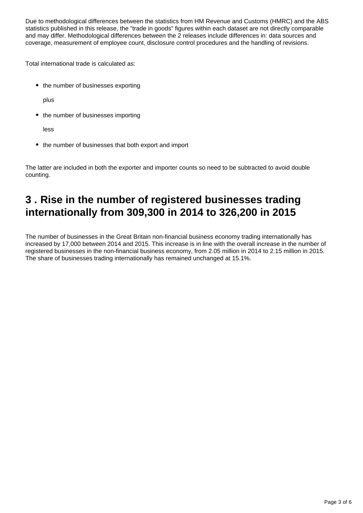Due to methodological differences between the statistics from HM Revenue and Customs (HMRC) and the ABS statistics published in this release, the "trade in goods" figures within each dataset are not directly comparable and may differ. Methodological differences between the 2 releases include differences in: data sources and coverage, measurement of employee count, disclosure control procedures and the handling of revisions.

Total international trade is calculated as:

• the number of businesses exporting

plus

• the number of businesses importing

less

• the number of businesses that both export and import

The latter are included in both the exporter and importer counts so need to be subtracted to avoid double counting.

### <span id="page-2-0"></span>**3 . Rise in the number of registered businesses trading internationally from 309,300 in 2014 to 326,200 in 2015**

The number of businesses in the Great Britain non-financial business economy trading internationally has increased by 17,000 between 2014 and 2015. This increase is in line with the overall increase in the number of registered businesses in the non-financial business economy, from 2.05 million in 2014 to 2.15 million in 2015. The share of businesses trading internationally has remained unchanged at 15.1%.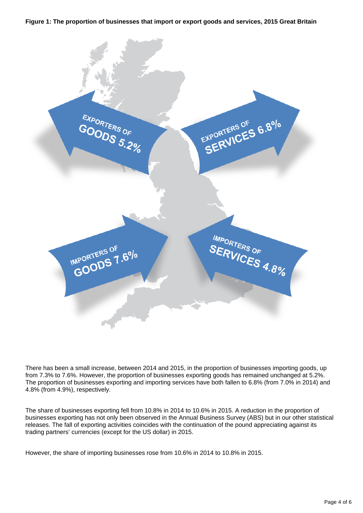#### **Figure 1: The proportion of businesses that import or export goods and services, 2015 Great Britain**



There has been a small increase, between 2014 and 2015, in the proportion of businesses importing goods, up from 7.3% to 7.6%. However, the proportion of businesses exporting goods has remained unchanged at 5.2%. The proportion of businesses exporting and importing services have both fallen to 6.8% (from 7.0% in 2014) and 4.8% (from 4.9%), respectively.

The share of businesses exporting fell from 10.8% in 2014 to 10.6% in 2015. A reduction in the proportion of businesses exporting has not only been observed in the Annual Business Survey (ABS) but in our other statistical releases. The fall of exporting activities coincides with the continuation of the pound appreciating against its trading partners' currencies (except for the US dollar) in 2015.

However, the share of importing businesses rose from 10.6% in 2014 to 10.8% in 2015.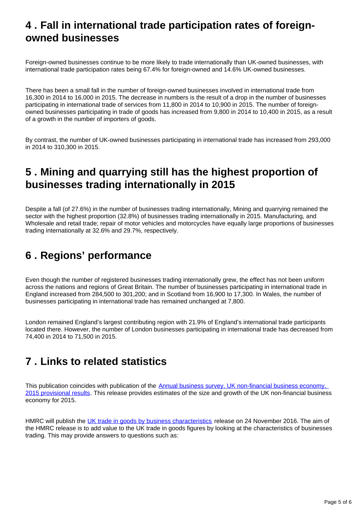#### <span id="page-4-0"></span>**4 . Fall in international trade participation rates of foreignowned businesses**

Foreign-owned businesses continue to be more likely to trade internationally than UK-owned businesses, with international trade participation rates being 67.4% for foreign-owned and 14.6% UK-owned businesses.

There has been a small fall in the number of foreign-owned businesses involved in international trade from 16,300 in 2014 to 16,000 in 2015. The decrease in numbers is the result of a drop in the number of businesses participating in international trade of services from 11,800 in 2014 to 10,900 in 2015. The number of foreignowned businesses participating in trade of goods has increased from 9,800 in 2014 to 10,400 in 2015, as a result of a growth in the number of importers of goods.

By contrast, the number of UK-owned businesses participating in international trade has increased from 293,000 in 2014 to 310,300 in 2015.

#### <span id="page-4-1"></span>**5 . Mining and quarrying still has the highest proportion of businesses trading internationally in 2015**

Despite a fall (of 27.6%) in the number of businesses trading internationally, Mining and quarrying remained the sector with the highest proportion (32.8%) of businesses trading internationally in 2015. Manufacturing, and Wholesale and retail trade; repair of motor vehicles and motorcycles have equally large proportions of businesses trading internationally at 32.6% and 29.7%, respectively.

# <span id="page-4-2"></span>**6 . Regions' performance**

Even though the number of registered businesses trading internationally grew, the effect has not been uniform across the nations and regions of Great Britain. The number of businesses participating in international trade in England increased from 284,500 to 301,200; and in Scotland from 16,900 to 17,300. In Wales, the number of businesses participating in international trade has remained unchanged at 7,800.

London remained England's largest contributing region with 21.9% of England's international trade participants located there. However, the number of London businesses participating in international trade has decreased from 74,400 in 2014 to 71,500 in 2015.

## <span id="page-4-3"></span>**7 . Links to related statistics**

This publication coincides with publication of the Annual business survey, UK non-financial business economy, [2015 provisional results](https://www.ons.gov.uk/releases/uknonfinancialbusinesseconomy2015provisionalresults). This release provides estimates of the size and growth of the UK non-financial business economy for 2015.

HMRC will publish the [UK trade in goods by business characteristics](https://www.gov.uk/government/collections/uk-trade-in-goods-statistics-by-business-characteristics) release on 24 November 2016. The aim of the HMRC release is to add value to the UK trade in goods figures by looking at the characteristics of businesses trading. This may provide answers to questions such as: